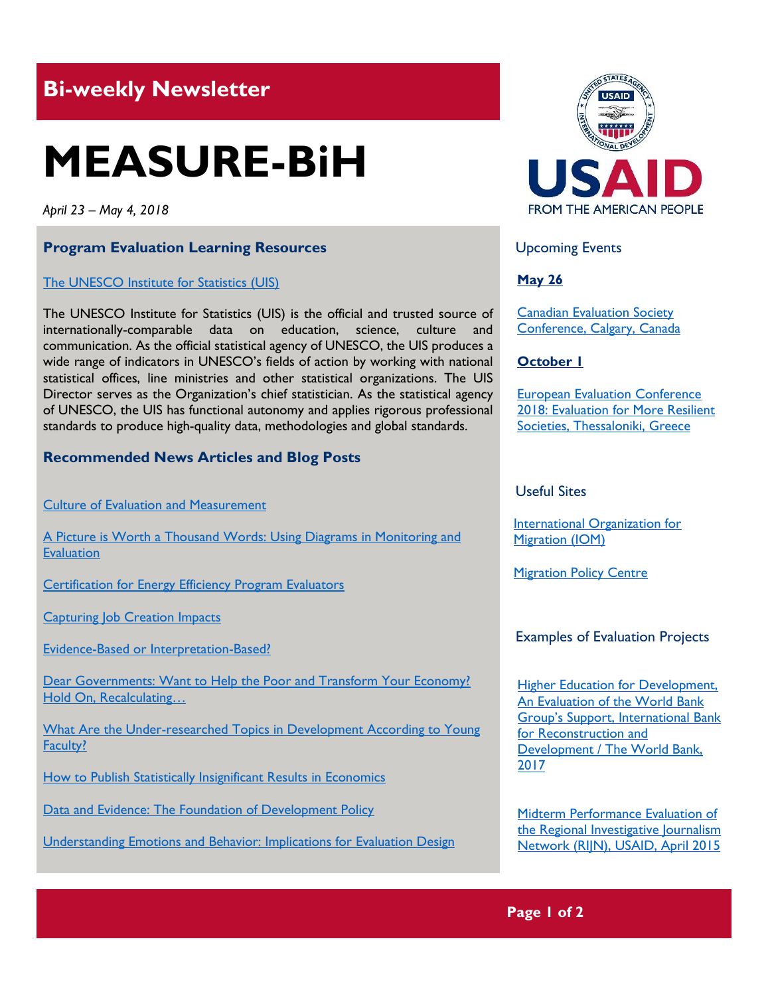# **Bi-weekly Newsletter**

# **MEASURE-BiH**

*April 23 – May 4, 2018*

#### **Program Evaluation Learning Resources**

#### The UNESCO [Institute for Statistics](http://uis.unesco.org/en/home) (UIS)

The UNESCO Institute for Statistics (UIS) is the official and trusted source of internationally-comparable data on education, science, culture and communication. As the official statistical agency of UNESCO, the UIS produces a wide range of indicators in UNESCO's fields of action by working with national statistical offices, line ministries and other statistical organizations. The UIS Director serves as the Organization's chief statistician. As the statistical agency of UNESCO, the UIS has functional autonomy and applies rigorous professional standards to produce high-quality data, methodologies and global standards.

#### **Recommended News Articles and Blog Posts**

[Culture of Evaluation and Measurement](http://aea365.org/blog/epe-tig-week-culture-of-evaluation-and-measurement-by-jeff-danter/?utm_source=feedburner&utm_medium=feed&utm_campaign=Feed%3A+aea365+%28AEA365%29)

A Picture is Worth a Thousand [Words: Using Diagrams in Monitoring and](http://aea365.org/blog/epe-tig-week-a-picture-is-worth-a-thousand-words-using-diagrams-in-monitoring-and-evaluation-by-caroline-stem/?utm_source=feedburner&utm_medium=feed&utm_campaign=Feed%3A+aea365+%28AEA365%29)  **Evaluation** 

[Certification for Energy Efficiency Program Evaluators](http://aea365.org/blog/epe-tig-week-certification-for-energy-efficiency-program-evaluators-by-mary-sutter/?utm_source=feedburner&utm_medium=feed&utm_campaign=Feed%3A+aea365+%28AEA365%29)

**[Capturing Job Creation Impacts](http://aea365.org/blog/capturing-job-creation-impacts-by-ben-fowler-and-richard-horne/?utm_source=feedburner&utm_medium=feed&utm_campaign=Feed%3A+aea365+%28AEA365%29)** 

[Evidence-Based or Interpretation-Based?](https://blogs.worldbank.org/impactevaluations/evidence-based-or-interpretation-based)

Dear Governments: Want to Help the Poor and Transform Your Economy? [Hold On, Recalculating…](https://blogs.worldbank.org/impactevaluations/dear-governments-want-help-poor-and-transform-your-economy-hold-recalculating)

[What Are the Under-researched Topics in Development According to Young](https://blogs.worldbank.org/impactevaluations/what-are-the-under-researched-topics-in-development-according-to-young-faculty)  [Faculty?](https://blogs.worldbank.org/impactevaluations/what-are-the-under-researched-topics-in-development-according-to-young-faculty)

[How to Publish Statistically Insignificant Results in Economics](https://blogs.worldbank.org/impactevaluations/how-publish-statistically-insignificant-results-economics)

[Data and Evidence: The Foundation of Development Policy](https://ieg.worldbankgroup.org/evaluations/data-for-development)

Understanding Emotions [and Behavior: Implications for Evaluation Design](http://aea365.org/blog/epe-tig-week-understanding-emotions-and-behavior-implications-for-evaluation-design-by-matthew-ballew-and-kara-crohn/?utm_source=feedburner&utm_medium=feed&utm_campaign=Feed%3A+aea365+%28AEA365%29)



Upcoming Events

#### **May 26**

[Canadian Evaluation Society](http://c2018.evaluationcanada.ca/)  [Conference, Calgary, Canada](http://c2018.evaluationcanada.ca/)

#### **October 1**

[European Evaluation Conference](http://www.ees2018.eu/)  [2018: Evaluation for More Resilient](http://www.ees2018.eu/)  [Societies, Thessaloniki, Greece](http://www.ees2018.eu/)

#### Useful Sites

[International Organization for](https://www.iom.int/)  [Migration \(IOM\)](https://www.iom.int/)

**[Migration Policy Centre](http://www.migrationpolicycentre.eu/)** 

#### Examples of Evaluation Projects

**Higher Education for Development,** [An Evaluation of the World Bank](https://ieg.worldbankgroup.org/sites/default/files/Data/Evaluation/files/highereducation.pdf)  **Group's Support, International Bank** [for Reconstruction and](https://ieg.worldbankgroup.org/sites/default/files/Data/Evaluation/files/highereducation.pdf)  [Development / The World Bank,](https://ieg.worldbankgroup.org/sites/default/files/Data/Evaluation/files/highereducation.pdf)  [2017](https://ieg.worldbankgroup.org/sites/default/files/Data/Evaluation/files/highereducation.pdf)

[Midterm Performance Evaluation of](https://pdf.usaid.gov/pdf_docs/PA00KM3J.pdf)  the Regional Investigative Journalism [Network \(RIJN\), USAID, April 2015](https://pdf.usaid.gov/pdf_docs/PA00KM3J.pdf)

## **Page 1 of 2**